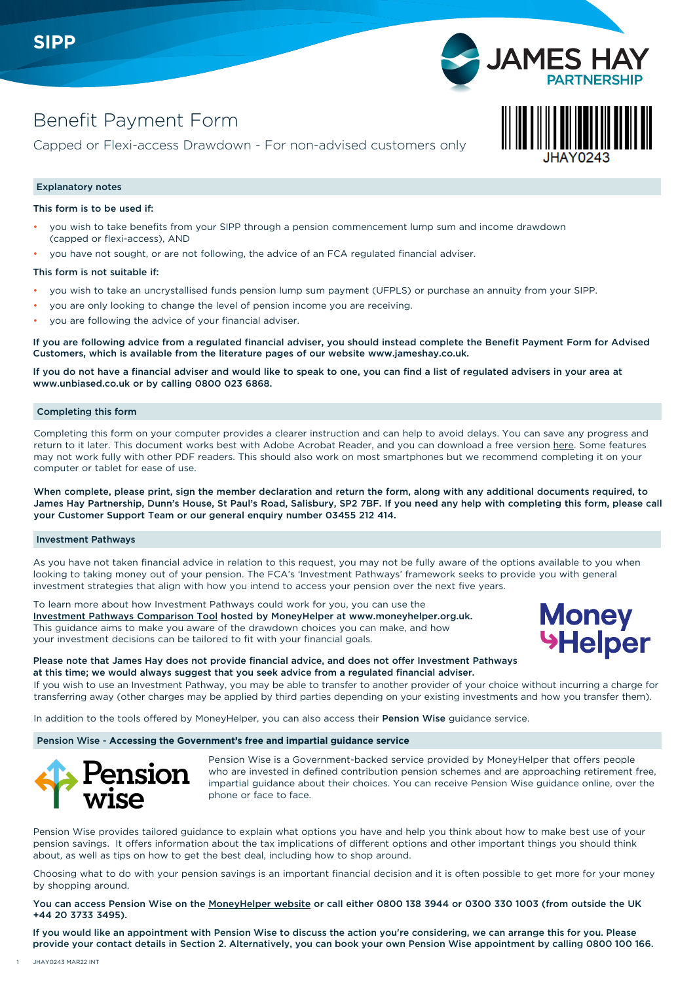

Capped or Flexi-access Drawdown - For non-advised customers only

# Explanatory notes

This form is to be used if:

- you wish to take benefits from your SIPP through a pension commencement lump sum and income drawdown (capped or flexi-access), AND
- you have not sought, or are not following, the advice of an FCA regulated financial adviser.

### This form is not suitable if:

- you wish to take an uncrystallised funds pension lump sum payment (UFPLS) or purchase an annuity from your SIPP.
- you are only looking to change the level of pension income you are receiving.
- you are following the advice of your financial adviser.

If you are following advice from a regulated financial adviser, you should instead complete the Benefit Payment Form for Advised Customers, which is available from the literature pages of our website [www.jameshay.co.uk.](http://www.jameshay.co.uk)

If you do not have a financial adviser and would like to speak to one, you can find a list of regulated advisers in your area at www.unbiased.co.uk or by calling 0800 023 6868.

### Completing this form

Completing this form on your computer provides a clearer instruction and can help to avoid delays. You can save any progress and return to it later. This document works best with Adobe Acrobat Reader, and you can download a free version [here.](https://get.adobe.com/uk/reader/) Some features may not work fully with other PDF readers. This should also work on most smartphones but we recommend completing it on your computer or tablet for ease of use.

When complete, please print, sign the member declaration and return the form, along with any additional documents required, to James Hay Partnership, Dunn's House, St Paul's Road, Salisbury, SP2 7BF. If you need any help with completing this form, please call your Customer Support Team or our general enquiry number 03455 212 414.

#### Investment Pathways

As you have not taken financial advice in relation to this request, you may not be fully aware of the options available to you when looking to taking money out of your pension. The FCA's 'Investment Pathways' framework seeks to provide you with general investment strategies that align with how you intend to access your pension over the next five years.

To learn more about how Investment Pathways could work for you, you can use the Investment Pathways Comparison [Tool](https://comparison.moneyhelper.org.uk/en/tools/drawdown-investment-pathways) hosted by MoneyHelper at www.moneyhelper.org.uk. This guidance aims to make you aware of the drawdown choices you can make, and how your investment decisions can be tailored to fit with your financial goals.



**JAMES** 

## Please note that James Hay does not provide financial advice, and does not offer Investment Pathways at this time; we would always suggest that you seek advice from a regulated financial adviser.

If you wish to use an Investment Pathway, you may be able to transfer to another provider of your choic[e without incurring a charge for](https://comparison.moneyhelper.org.uk/en/tools/drawdown-investment-pathways)  transferring away (other charges may be applied by third parties depending on your existing investments and how you transfer them).

In addition to the tools offered by MoneyHelper, you can also access their Pension Wise guidance service.

Pension Wise - **Accessing the Government's free and impartial guidance service**



Pension Wise is a Government-backed service provided by MoneyHelper that offers people who are invested in defined contribution pension schemes and are approaching retirement free, impartial guidance about their choices. You can receive Pension Wise guidance online, over the phone or face to face.

Pension Wise provides tailored guidance to explain what options you have and help you think about how to make best use of your pension savings. It offers information about the tax implications of different options and other important things you should think about, as well as tips on how to get the best deal, including how to shop around.

Choosing what to do with your pension savings is an important financial decision and it is often possible to get more for your money by shopping around.

You can access Pension Wise on the [MoneyHelper website](https://www.moneyhelper.org.uk/en/pensions-and-retirement/pension-wise) or call either 0800 138 3944 or 0300 330 1003 (from outside the UK +44 20 3733 3495).

If you would like an appointment with Pension Wise to discuss the action you're considering, we can arrange this for you. Please provide your contact details in Section 2. Alternatively, you can book your own Pension Wise appointment by calling 0800 100 166.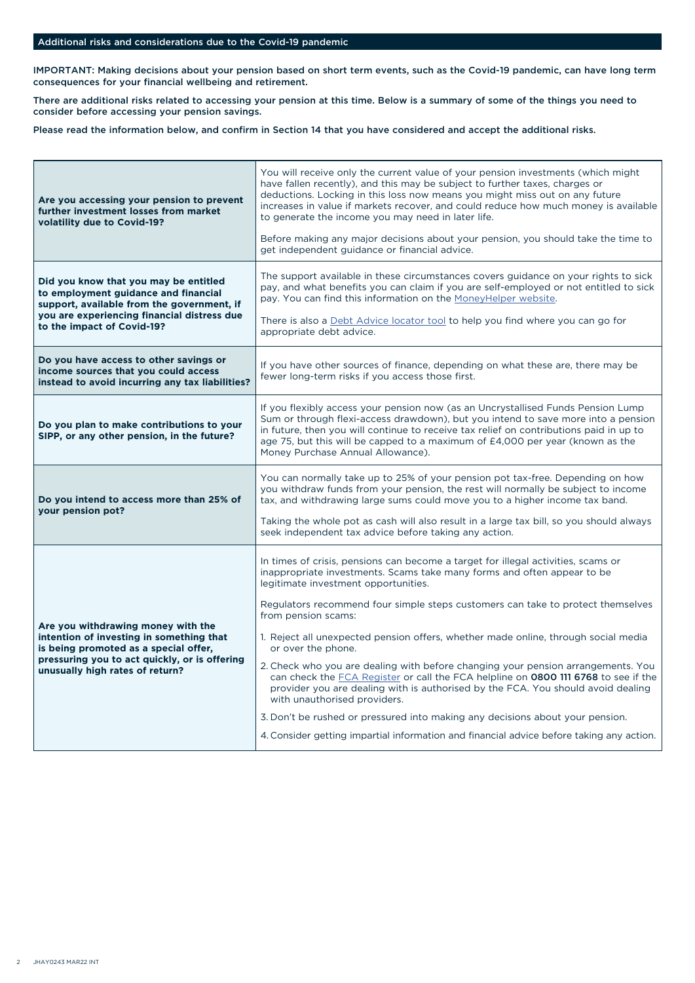# Additional risks and considerations due to the Covid-19 pandemic

IMPORTANT: Making decisions about your pension based on short term events, such as the Covid-19 pandemic, can have long term consequences for your financial wellbeing and retirement.

There are additional risks related to accessing your pension at this time. Below is a summary of some of the things you need to consider before accessing your pension savings.

Please read the information below, and confirm in Section 14 that you have considered and accept the additional risks.

| Are you accessing your pension to prevent<br>further investment losses from market<br>volatility due to Covid-19?                                                                                           | You will receive only the current value of your pension investments (which might<br>have fallen recently), and this may be subject to further taxes, charges or<br>deductions. Locking in this loss now means you might miss out on any future<br>increases in value if markets recover, and could reduce how much money is available<br>to generate the income you may need in later life.<br>Before making any major decisions about your pension, you should take the time to<br>get independent guidance or financial advice.                                                                                                                                                                                                                                                                                                                                                                     |  |  |
|-------------------------------------------------------------------------------------------------------------------------------------------------------------------------------------------------------------|-------------------------------------------------------------------------------------------------------------------------------------------------------------------------------------------------------------------------------------------------------------------------------------------------------------------------------------------------------------------------------------------------------------------------------------------------------------------------------------------------------------------------------------------------------------------------------------------------------------------------------------------------------------------------------------------------------------------------------------------------------------------------------------------------------------------------------------------------------------------------------------------------------|--|--|
| Did you know that you may be entitled<br>to employment guidance and financial<br>support, available from the government, if<br>you are experiencing financial distress due<br>to the impact of Covid-19?    | The support available in these circumstances covers guidance on your rights to sick<br>pay, and what benefits you can claim if you are self-employed or not entitled to sick<br>pay. You can find this information on the MoneyHelper website.<br>There is also a Debt Advice locator tool to help you find where you can go for<br>appropriate debt advice.                                                                                                                                                                                                                                                                                                                                                                                                                                                                                                                                          |  |  |
| Do you have access to other savings or<br>income sources that you could access<br>instead to avoid incurring any tax liabilities?                                                                           | If you have other sources of finance, depending on what these are, there may be<br>fewer long-term risks if you access those first.                                                                                                                                                                                                                                                                                                                                                                                                                                                                                                                                                                                                                                                                                                                                                                   |  |  |
| Do you plan to make contributions to your<br>SIPP, or any other pension, in the future?                                                                                                                     | If you flexibly access your pension now (as an Uncrystallised Funds Pension Lump)<br>Sum or through flexi-access drawdown), but you intend to save more into a pension<br>in future, then you will continue to receive tax relief on contributions paid in up to<br>age 75, but this will be capped to a maximum of £4,000 per year (known as the<br>Money Purchase Annual Allowance).                                                                                                                                                                                                                                                                                                                                                                                                                                                                                                                |  |  |
| Do you intend to access more than 25% of<br>your pension pot?                                                                                                                                               | You can normally take up to 25% of your pension pot tax-free. Depending on how<br>you withdraw funds from your pension, the rest will normally be subject to income<br>tax, and withdrawing large sums could move you to a higher income tax band.<br>Taking the whole pot as cash will also result in a large tax bill, so you should always<br>seek independent tax advice before taking any action.                                                                                                                                                                                                                                                                                                                                                                                                                                                                                                |  |  |
| Are you withdrawing money with the<br>intention of investing in something that<br>is being promoted as a special offer,<br>pressuring you to act quickly, or is offering<br>unusually high rates of return? | In times of crisis, pensions can become a target for illegal activities, scams or<br>inappropriate investments. Scams take many forms and often appear to be<br>legitimate investment opportunities.<br>Regulators recommend four simple steps customers can take to protect themselves<br>from pension scams:<br>1. Reject all unexpected pension offers, whether made online, through social media<br>or over the phone.<br>2. Check who you are dealing with before changing your pension arrangements. You<br>can check the FCA Register or call the FCA helpline on 0800 111 6768 to see if the<br>provider you are dealing with is authorised by the FCA. You should avoid dealing<br>with unauthorised providers.<br>3. Don't be rushed or pressured into making any decisions about your pension.<br>4. Consider getting impartial information and financial advice before taking any action. |  |  |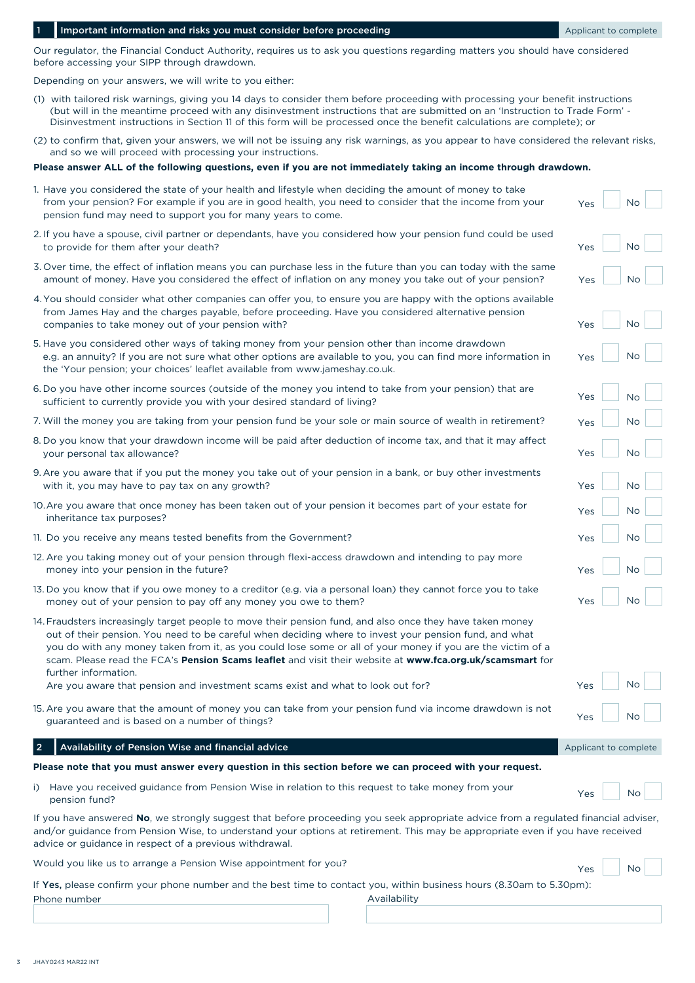# 1 Important information and risks you must consider before proceeding Applicant Complete

Our regulator, the Financial Conduct Authority, requires us to ask you questions regarding matters you should have considered before accessing your SIPP through drawdown.

Depending on your answers, we will write to you either:

- (1) with tailored risk warnings, giving you 14 days to consider them before proceeding with processing your benefit instructions (but will in the meantime proceed with any disinvestment instructions that are submitted on an 'Instruction to Trade Form' - Disinvestment instructions in Section 11 of this form will be processed once the benefit calculations are complete); or
- (2) to confirm that, given your answers, we will not be issuing any risk warnings, as you appear to have considered the relevant risks, and so we will proceed with processing your instructions.

# **Please answer ALL of the following questions, even if you are not immediately taking an income through drawdown.**

1. Have you considered the state of your health and lifestyle when deciding the amount of money to take

| 1. Have you considered the state of your health and lifestyle when deciding the amount of money to take<br>from your pension? For example if you are in good health, you need to consider that the income from your<br>pension fund may need to support you for many years to come.                                                                                                                                                                                                                                                                        | Yes                   | <b>No</b> |
|------------------------------------------------------------------------------------------------------------------------------------------------------------------------------------------------------------------------------------------------------------------------------------------------------------------------------------------------------------------------------------------------------------------------------------------------------------------------------------------------------------------------------------------------------------|-----------------------|-----------|
| 2. If you have a spouse, civil partner or dependants, have you considered how your pension fund could be used<br>to provide for them after your death?                                                                                                                                                                                                                                                                                                                                                                                                     | Yes                   | <b>No</b> |
| 3. Over time, the effect of inflation means you can purchase less in the future than you can today with the same<br>amount of money. Have you considered the effect of inflation on any money you take out of your pension?                                                                                                                                                                                                                                                                                                                                | Yes                   | No        |
| 4. You should consider what other companies can offer you, to ensure you are happy with the options available<br>from James Hay and the charges payable, before proceeding. Have you considered alternative pension<br>companies to take money out of your pension with?                                                                                                                                                                                                                                                                                   | Yes                   | <b>No</b> |
| 5. Have you considered other ways of taking money from your pension other than income drawdown<br>e.g. an annuity? If you are not sure what other options are available to you, you can find more information in<br>the 'Your pension; your choices' leaflet available from www.jameshay.co.uk.                                                                                                                                                                                                                                                            | Yes                   | <b>No</b> |
| 6. Do you have other income sources (outside of the money you intend to take from your pension) that are<br>sufficient to currently provide you with your desired standard of living?                                                                                                                                                                                                                                                                                                                                                                      | Yes                   | No        |
| 7. Will the money you are taking from your pension fund be your sole or main source of wealth in retirement?                                                                                                                                                                                                                                                                                                                                                                                                                                               | Yes                   | <b>No</b> |
| 8. Do you know that your drawdown income will be paid after deduction of income tax, and that it may affect<br>your personal tax allowance?                                                                                                                                                                                                                                                                                                                                                                                                                | Yes                   | <b>No</b> |
| 9. Are you aware that if you put the money you take out of your pension in a bank, or buy other investments<br>with it, you may have to pay tax on any growth?                                                                                                                                                                                                                                                                                                                                                                                             | Yes                   | <b>No</b> |
| 10. Are you aware that once money has been taken out of your pension it becomes part of your estate for<br>inheritance tax purposes?                                                                                                                                                                                                                                                                                                                                                                                                                       | Yes                   | <b>No</b> |
| 11. Do you receive any means tested benefits from the Government?                                                                                                                                                                                                                                                                                                                                                                                                                                                                                          | Yes                   | <b>No</b> |
| 12. Are you taking money out of your pension through flexi-access drawdown and intending to pay more<br>money into your pension in the future?                                                                                                                                                                                                                                                                                                                                                                                                             | Yes                   | <b>No</b> |
| 13. Do you know that if you owe money to a creditor (e.g. via a personal loan) they cannot force you to take<br>money out of your pension to pay off any money you owe to them?                                                                                                                                                                                                                                                                                                                                                                            | Yes                   | <b>No</b> |
| 14. Fraudsters increasingly target people to move their pension fund, and also once they have taken money<br>out of their pension. You need to be careful when deciding where to invest your pension fund, and what<br>you do with any money taken from it, as you could lose some or all of your money if you are the victim of a<br>scam. Please read the FCA's Pension Scams leaflet and visit their website at www.fca.org.uk/scamsmart for<br>further information.<br>Are you aware that pension and investment scams exist and what to look out for? | Yes                   | No        |
| 15. Are you aware that the amount of money you can take from your pension fund via income drawdown is not<br>guaranteed and is based on a number of things?                                                                                                                                                                                                                                                                                                                                                                                                | Yes                   | No.       |
| Availability of Pension Wise and financial advice<br>$\vert 2 \vert$                                                                                                                                                                                                                                                                                                                                                                                                                                                                                       | Applicant to complete |           |
| Please note that you must answer every question in this section before we can proceed with your request.                                                                                                                                                                                                                                                                                                                                                                                                                                                   |                       |           |
| Have you received guidance from Pension Wise in relation to this request to take money from your<br>i)<br>pension fund?                                                                                                                                                                                                                                                                                                                                                                                                                                    | Yes                   | No        |
| If you have answered No, we strongly suggest that before proceeding you seek appropriate advice from a regulated financial adviser,<br>and/or guidance from Pension Wise, to understand your options at retirement. This may be appropriate even if you have received<br>advice or guidance in respect of a previous withdrawal.                                                                                                                                                                                                                           |                       |           |
| Would you like us to arrange a Pension Wise appointment for you?                                                                                                                                                                                                                                                                                                                                                                                                                                                                                           | Yes                   | No        |
| If Yes, please confirm your phone number and the best time to contact you, within business hours (8.30am to 5.30pm):<br>Phone number<br>Availability                                                                                                                                                                                                                                                                                                                                                                                                       |                       |           |
|                                                                                                                                                                                                                                                                                                                                                                                                                                                                                                                                                            |                       |           |
|                                                                                                                                                                                                                                                                                                                                                                                                                                                                                                                                                            |                       |           |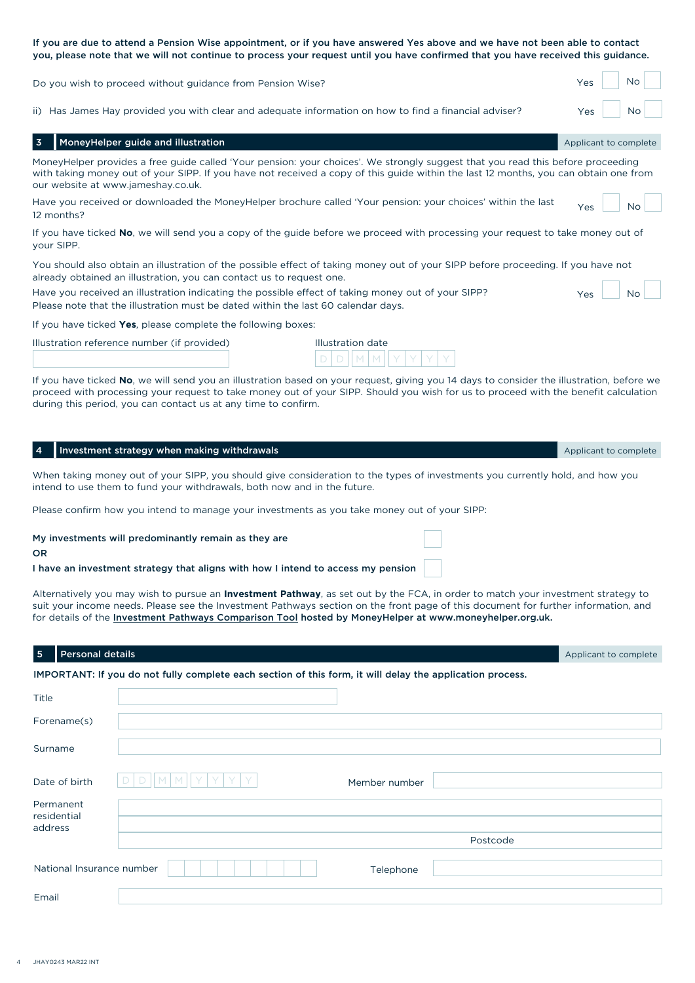If you are due to attend a Pension Wise appointment, or if you have answered Yes above and we have not been able to contact you, please note that we will not continue to process your request until you have confirmed that you have received this guidance.

| Do you wish to proceed without guidance from Pension Wise? | Yes |  | Nc |  |
|------------------------------------------------------------|-----|--|----|--|
|------------------------------------------------------------|-----|--|----|--|

ii) Has James Hay provided you with clear and adequate information on how to find a financial adviser?  $\overline{Y_{\text{ES}}}$  No

| ii) Thas sames may provided you with clear and adequate imormation on now to mild a miancial adviser :                                                                                                                                                                                                        | 1 C.S<br>1 N V 1      |
|---------------------------------------------------------------------------------------------------------------------------------------------------------------------------------------------------------------------------------------------------------------------------------------------------------------|-----------------------|
| MoneyHelper guide and illustration                                                                                                                                                                                                                                                                            | Applicant to complete |
| MoneyHelper provides a free quide called 'Your pension: your choices'. We strongly suggest that you read this before proceeding<br>with taking money out of your SIPP. If you have not received a copy of this guide within the last 12 months, you can obtain one from<br>our website at www.jameshay.co.uk. |                       |
| Have you received or downloaded the MoneyHelper brochure called 'Your pension: your choices' within the last<br>12 months?                                                                                                                                                                                    | N <sub>0</sub><br>Yes |
| If you have ticked No, we will send you a copy of the guide before we proceed with processing your request to take money out of<br>your SIPP.                                                                                                                                                                 |                       |
| You should also obtain an illustration of the possible effect of taking money out of your SIPP before proceeding. If you have not<br>already obtained an illustration, you can contact us to request one.                                                                                                     |                       |
| Have you received an illustration indicating the possible effect of taking money out of your SIPP?                                                                                                                                                                                                            | <b>No</b><br>Yes      |

Please note that the illustration must be dated within the last 60 calendar days.

If you have ticked **Yes**, please complete the following boxes:

| Illustration date |
|-------------------|
|                   |

| lustration date |  |  |  |  |  |  |  |  |
|-----------------|--|--|--|--|--|--|--|--|
|                 |  |  |  |  |  |  |  |  |

If you have ticked **No**, we will send you an illustration based on your request, giving you 14 days to consider the illustration, before we proceed with processing your request to take money out of your SIPP. Should you wish for us to proceed with the benefit calculation during this period, you can contact us at any time to confirm.

| $\overline{4}$ | Investment strategy when making withdrawals                                                                                                                                                                                                                                                                                                                                               | Applicant to complete |  |  |  |  |  |
|----------------|-------------------------------------------------------------------------------------------------------------------------------------------------------------------------------------------------------------------------------------------------------------------------------------------------------------------------------------------------------------------------------------------|-----------------------|--|--|--|--|--|
|                | When taking money out of your SIPP, you should give consideration to the types of investments you currently hold, and how you<br>intend to use them to fund your withdrawals, both now and in the future.                                                                                                                                                                                 |                       |  |  |  |  |  |
|                | Please confirm how you intend to manage your investments as you take money out of your SIPP:                                                                                                                                                                                                                                                                                              |                       |  |  |  |  |  |
| <b>OR</b>      | My investments will predominantly remain as they are<br>I have an investment strategy that aligns with how I intend to access my pension                                                                                                                                                                                                                                                  |                       |  |  |  |  |  |
|                | Alternatively you may wish to pursue an <b>Investment Pathway</b> , as set out by the FCA, in order to match your investment strategy to<br>suit your income needs. Please see the Investment Pathways section on the front page of this document for further information, and<br>for details of the Investment Pathways Comparison Tool hosted by MoneyHelper at www.moneyhelper.org.uk. |                       |  |  |  |  |  |
| $\overline{5}$ | <b>Personal details</b>                                                                                                                                                                                                                                                                                                                                                                   | Applicant to complete |  |  |  |  |  |
|                | IMPORTANT: If you do not fully complete each section of this form, it will delay the application process.                                                                                                                                                                                                                                                                                 |                       |  |  |  |  |  |
| Title          |                                                                                                                                                                                                                                                                                                                                                                                           |                       |  |  |  |  |  |
|                | Forename(s)                                                                                                                                                                                                                                                                                                                                                                               |                       |  |  |  |  |  |
| Surname        |                                                                                                                                                                                                                                                                                                                                                                                           |                       |  |  |  |  |  |
|                | Date of birth<br>Member number                                                                                                                                                                                                                                                                                                                                                            |                       |  |  |  |  |  |
|                | Permanent<br>residential                                                                                                                                                                                                                                                                                                                                                                  |                       |  |  |  |  |  |
| address        |                                                                                                                                                                                                                                                                                                                                                                                           |                       |  |  |  |  |  |
|                | Postcode                                                                                                                                                                                                                                                                                                                                                                                  |                       |  |  |  |  |  |
|                | National Insurance number<br>Telephone                                                                                                                                                                                                                                                                                                                                                    |                       |  |  |  |  |  |
| Email          |                                                                                                                                                                                                                                                                                                                                                                                           |                       |  |  |  |  |  |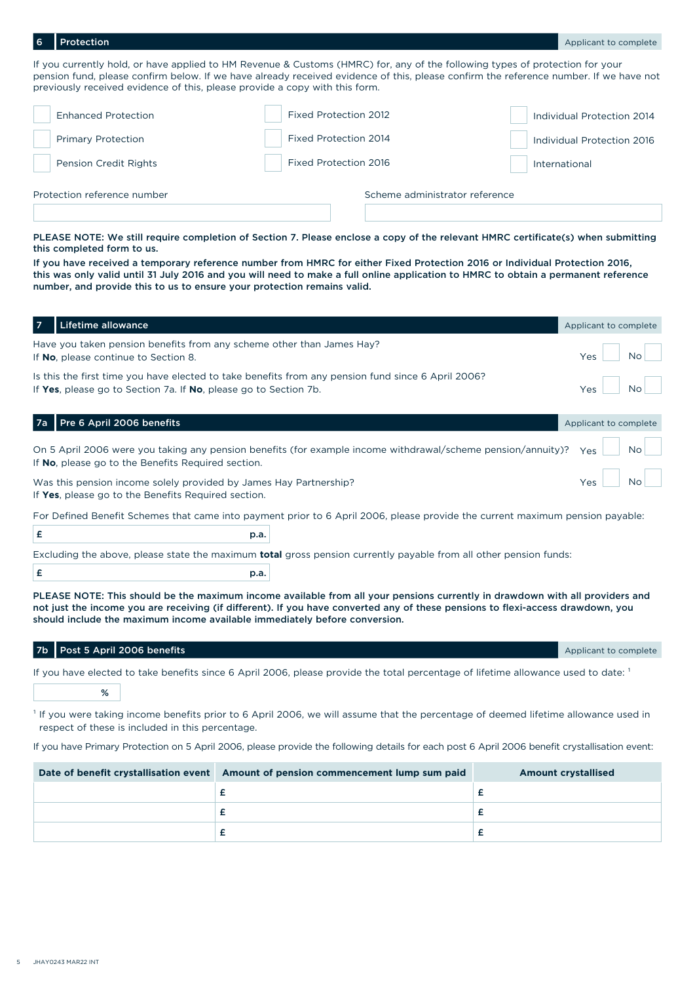**Protection** 

If you currently hold, or have applied to HM Revenue & Customs (HMRC) for, any of the following types of protection for your pension fund, please confirm below. If we have already received evidence of this, please confirm the reference number. If we have not previously received evidence of this, please provide a copy with this form.

| Protection reference number  |                              | Scheme administrator reference |
|------------------------------|------------------------------|--------------------------------|
| <b>Pension Credit Rights</b> | <b>Fixed Protection 2016</b> | International                  |
| <b>Primary Protection</b>    | Fixed Protection 2014        | Individual Protection 2016     |
| <b>Enhanced Protection</b>   | Fixed Protection 2012        | Individual Protection 2014     |
|                              |                              |                                |

PLEASE NOTE: We still require completion of Section 7. Please enclose a copy of the relevant HMRC certificate(s) when submitting this completed form to us.

If you have received a temporary reference number from HMRC for either Fixed Protection 2016 or Individual Protection 2016, this was only valid until 31 July 2016 and you will need to make a full online application to HMRC to obtain a permanent reference number, and provide this to us to ensure your protection remains valid.

| $\overline{7}$ | Lifetime allowance                                                                                                                                                                                                                                                                                                                            | Applicant to complete |
|----------------|-----------------------------------------------------------------------------------------------------------------------------------------------------------------------------------------------------------------------------------------------------------------------------------------------------------------------------------------------|-----------------------|
|                | Have you taken pension benefits from any scheme other than James Hay?<br>If No, please continue to Section 8.                                                                                                                                                                                                                                 | <b>No</b><br>Yes      |
|                | Is this the first time you have elected to take benefits from any pension fund since 6 April 2006?<br>If Yes, please go to Section 7a. If No, please go to Section 7b.                                                                                                                                                                        | <b>No</b><br>Yes      |
| 7a             | Pre 6 April 2006 benefits                                                                                                                                                                                                                                                                                                                     | Applicant to complete |
|                | On 5 April 2006 were you taking any pension benefits (for example income withdrawal/scheme pension/annuity)?<br>If No, please go to the Benefits Required section.                                                                                                                                                                            | <b>No</b><br>Yes      |
|                | Was this pension income solely provided by James Hay Partnership?<br>If Yes, please go to the Benefits Required section.                                                                                                                                                                                                                      | <b>No</b><br>Yes      |
|                | For Defined Benefit Schemes that came into payment prior to 6 April 2006, please provide the current maximum pension payable:                                                                                                                                                                                                                 |                       |
| £              | p.a.                                                                                                                                                                                                                                                                                                                                          |                       |
|                | Excluding the above, please state the maximum <b>total</b> gross pension currently payable from all other pension funds:                                                                                                                                                                                                                      |                       |
| £              | p.a.                                                                                                                                                                                                                                                                                                                                          |                       |
|                | PLEASE NOTE: This should be the maximum income available from all your pensions currently in drawdown with all providers and<br>not just the income you are receiving (if different). If you have converted any of these pensions to flexi-access drawdown, you<br>should include the maximum income available immediately before conversion. |                       |
| 7b             | Post 5 April 2006 benefits                                                                                                                                                                                                                                                                                                                    | Applicant to complete |
|                | If you have elected to take benefits since 6 April 2006, please provide the total percentage of lifetime allowance used to date: 1                                                                                                                                                                                                            |                       |

 $\%$ 

<sup>1</sup> If you were taking income benefits prior to 6 April 2006, we will assume that the percentage of deemed lifetime allowance used in respect of these is included in this percentage.

If you have Primary Protection on 5 April 2006, please provide the following details for each post 6 April 2006 benefit crystallisation event:

| Date of benefit crystallisation event Amount of pension commencement lump sum paid | <b>Amount crystallised</b> |
|------------------------------------------------------------------------------------|----------------------------|
|                                                                                    |                            |
|                                                                                    |                            |
|                                                                                    |                            |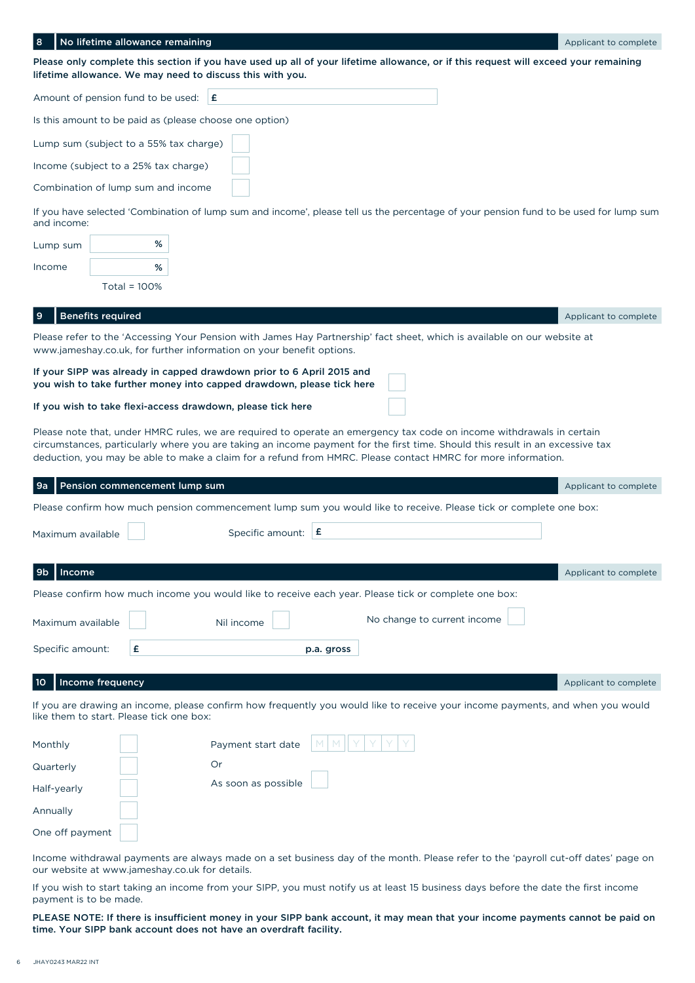| No lifetime allowance remaining<br>8                                                                                                                                                                                                                                                                                                                                   | Applicant to complete |
|------------------------------------------------------------------------------------------------------------------------------------------------------------------------------------------------------------------------------------------------------------------------------------------------------------------------------------------------------------------------|-----------------------|
| Please only complete this section if you have used up all of your lifetime allowance, or if this request will exceed your remaining                                                                                                                                                                                                                                    |                       |
| lifetime allowance. We may need to discuss this with you.                                                                                                                                                                                                                                                                                                              |                       |
| Amount of pension fund to be used:<br>١£                                                                                                                                                                                                                                                                                                                               |                       |
| Is this amount to be paid as (please choose one option)                                                                                                                                                                                                                                                                                                                |                       |
| Lump sum (subject to a 55% tax charge)                                                                                                                                                                                                                                                                                                                                 |                       |
| Income (subject to a 25% tax charge)                                                                                                                                                                                                                                                                                                                                   |                       |
| Combination of lump sum and income                                                                                                                                                                                                                                                                                                                                     |                       |
| If you have selected 'Combination of lump sum and income', please tell us the percentage of your pension fund to be used for lump sum<br>and income:                                                                                                                                                                                                                   |                       |
| %<br>Lump sum                                                                                                                                                                                                                                                                                                                                                          |                       |
| %<br>Income                                                                                                                                                                                                                                                                                                                                                            |                       |
| Total = $100\%$                                                                                                                                                                                                                                                                                                                                                        |                       |
| <b>Benefits required</b><br>9                                                                                                                                                                                                                                                                                                                                          | Applicant to complete |
| Please refer to the 'Accessing Your Pension with James Hay Partnership' fact sheet, which is available on our website at<br>www.jameshay.co.uk, for further information on your benefit options.                                                                                                                                                                       |                       |
| If your SIPP was already in capped drawdown prior to 6 April 2015 and<br>you wish to take further money into capped drawdown, please tick here                                                                                                                                                                                                                         |                       |
| If you wish to take flexi-access drawdown, please tick here                                                                                                                                                                                                                                                                                                            |                       |
| Please note that, under HMRC rules, we are required to operate an emergency tax code on income withdrawals in certain<br>circumstances, particularly where you are taking an income payment for the first time. Should this result in an excessive tax<br>deduction, you may be able to make a claim for a refund from HMRC. Please contact HMRC for more information. |                       |
| Pension commencement lump sum<br>9а                                                                                                                                                                                                                                                                                                                                    | Applicant to complete |
| Please confirm how much pension commencement lump sum you would like to receive. Please tick or complete one box:                                                                                                                                                                                                                                                      |                       |
| Specific amount: $\mathbf{E}$<br>Maximum available                                                                                                                                                                                                                                                                                                                     |                       |
| Income<br>9b                                                                                                                                                                                                                                                                                                                                                           | Applicant to complete |
| Please confirm how much income you would like to receive each year. Please tick or complete one box:                                                                                                                                                                                                                                                                   |                       |
| No change to current income<br>Maximum available<br>Nil income                                                                                                                                                                                                                                                                                                         |                       |
| Specific amount:<br>£<br>p.a. gross                                                                                                                                                                                                                                                                                                                                    |                       |
|                                                                                                                                                                                                                                                                                                                                                                        |                       |
| Income frequency<br>10                                                                                                                                                                                                                                                                                                                                                 | Applicant to complete |
| If you are drawing an income, please confirm how frequently you would like to receive your income payments, and when you would<br>like them to start. Please tick one box:                                                                                                                                                                                             |                       |
| Payment start date<br>Monthly                                                                                                                                                                                                                                                                                                                                          |                       |
| Or<br>Quarterly                                                                                                                                                                                                                                                                                                                                                        |                       |
| As soon as possible<br>Half-yearly                                                                                                                                                                                                                                                                                                                                     |                       |
| Annually                                                                                                                                                                                                                                                                                                                                                               |                       |
| One off payment                                                                                                                                                                                                                                                                                                                                                        |                       |

Income withdrawal payments are always made on a set business day of the month. Please refer to the 'payroll cut-off dates' page on our website at www.jameshay.co.uk for details.

If you wish to start taking an income from your SIPP, you must notify us at least 15 business days before the date the first income payment is to be made.

PLEASE NOTE: If there is insufficient money in your SIPP bank account, it may mean that your income payments cannot be paid on time. Your SIPP bank account does not have an overdraft facility.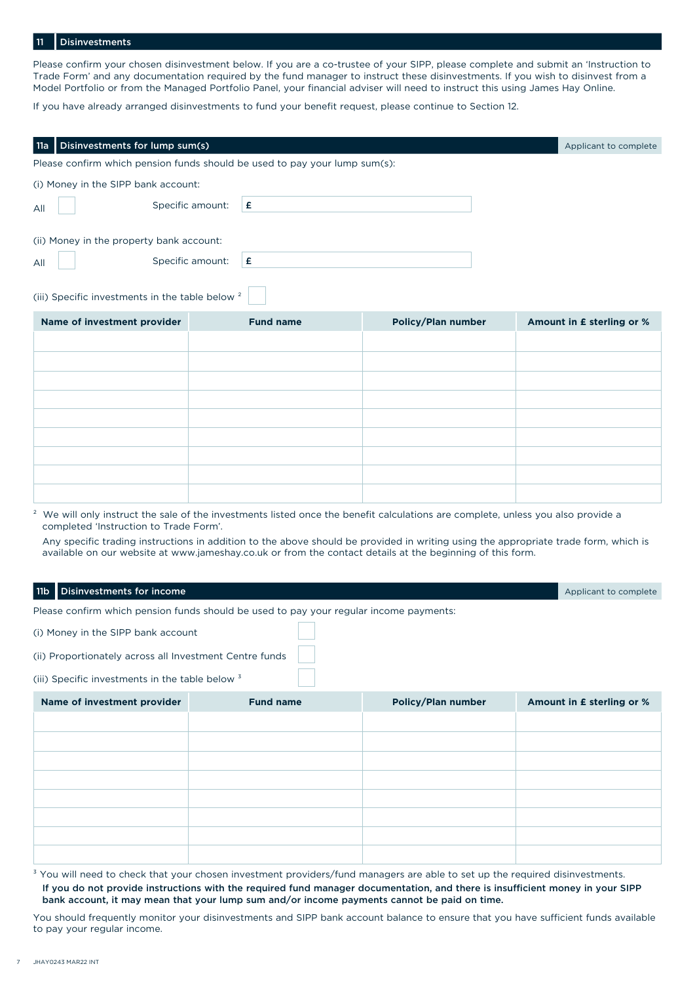## Disinvestments

Please confirm your chosen disinvestment below. If you are a co-trustee of your SIPP, please complete and submit an 'Instruction to Trade Form' and any documentation required by the fund manager to instruct these disinvestments. If you wish to disinvest from a Model Portfolio or from the Managed Portfolio Panel, your financial adviser will need to instruct this using James Hay Online.

If you have already arranged disinvestments to fund your benefit request, please continue to Section 12.

| Disinvestments for lump sum(s)<br>11a                                      |                                                                                        |                                                                                                                                                                                                                                                                                    | Applicant to complete     |
|----------------------------------------------------------------------------|----------------------------------------------------------------------------------------|------------------------------------------------------------------------------------------------------------------------------------------------------------------------------------------------------------------------------------------------------------------------------------|---------------------------|
| Please confirm which pension funds should be used to pay your lump sum(s): |                                                                                        |                                                                                                                                                                                                                                                                                    |                           |
| (i) Money in the SIPP bank account:                                        |                                                                                        |                                                                                                                                                                                                                                                                                    |                           |
| All                                                                        | Specific amount:<br>£                                                                  |                                                                                                                                                                                                                                                                                    |                           |
|                                                                            |                                                                                        |                                                                                                                                                                                                                                                                                    |                           |
| (ii) Money in the property bank account:                                   |                                                                                        |                                                                                                                                                                                                                                                                                    |                           |
| All                                                                        | Specific amount:<br>£                                                                  |                                                                                                                                                                                                                                                                                    |                           |
| (iii) Specific investments in the table below <sup>2</sup>                 |                                                                                        |                                                                                                                                                                                                                                                                                    |                           |
| Name of investment provider                                                | <b>Fund name</b>                                                                       | <b>Policy/Plan number</b>                                                                                                                                                                                                                                                          | Amount in £ sterling or % |
|                                                                            |                                                                                        |                                                                                                                                                                                                                                                                                    |                           |
|                                                                            |                                                                                        |                                                                                                                                                                                                                                                                                    |                           |
|                                                                            |                                                                                        |                                                                                                                                                                                                                                                                                    |                           |
|                                                                            |                                                                                        |                                                                                                                                                                                                                                                                                    |                           |
|                                                                            |                                                                                        |                                                                                                                                                                                                                                                                                    |                           |
|                                                                            |                                                                                        |                                                                                                                                                                                                                                                                                    |                           |
|                                                                            |                                                                                        |                                                                                                                                                                                                                                                                                    |                           |
|                                                                            |                                                                                        |                                                                                                                                                                                                                                                                                    |                           |
| completed 'Instruction to Trade Form'.                                     |                                                                                        | <sup>2</sup> We will only instruct the sale of the investments listed once the benefit calculations are complete, unless you also provide a<br>Any specific trading instructions in addition to the above should be provided in writing using the appropriate trade form, which is |                           |
|                                                                            |                                                                                        | available on our website at www.jameshay.co.uk or from the contact details at the beginning of this form.                                                                                                                                                                          |                           |
| Disinvestments for income<br>11 <sub>b</sub>                               |                                                                                        |                                                                                                                                                                                                                                                                                    | Applicant to complete     |
|                                                                            | Please confirm which pension funds should be used to pay your regular income payments: |                                                                                                                                                                                                                                                                                    |                           |

(i) Money in the SIPP bank account

(ii) Proportionately across all Investment Centre funds

(iii) Specific investments in the table below  $3$ 

| Name of investment provider | <b>Fund name</b> | <b>Policy/Plan number</b> | Amount in £ sterling or % |
|-----------------------------|------------------|---------------------------|---------------------------|
|                             |                  |                           |                           |
|                             |                  |                           |                           |
|                             |                  |                           |                           |
|                             |                  |                           |                           |
|                             |                  |                           |                           |
|                             |                  |                           |                           |
|                             |                  |                           |                           |
|                             |                  |                           |                           |

<sup>3</sup> You will need to check that your chosen investment providers/fund managers are able to set up the required disinvestments. If you do not provide instructions with the required fund manager documentation, and there is insufficient money in your SIPP bank account, it may mean that your lump sum and/or income payments cannot be paid on time.

You should frequently monitor your disinvestments and SIPP bank account balance to ensure that you have sufficient funds available to pay your regular income.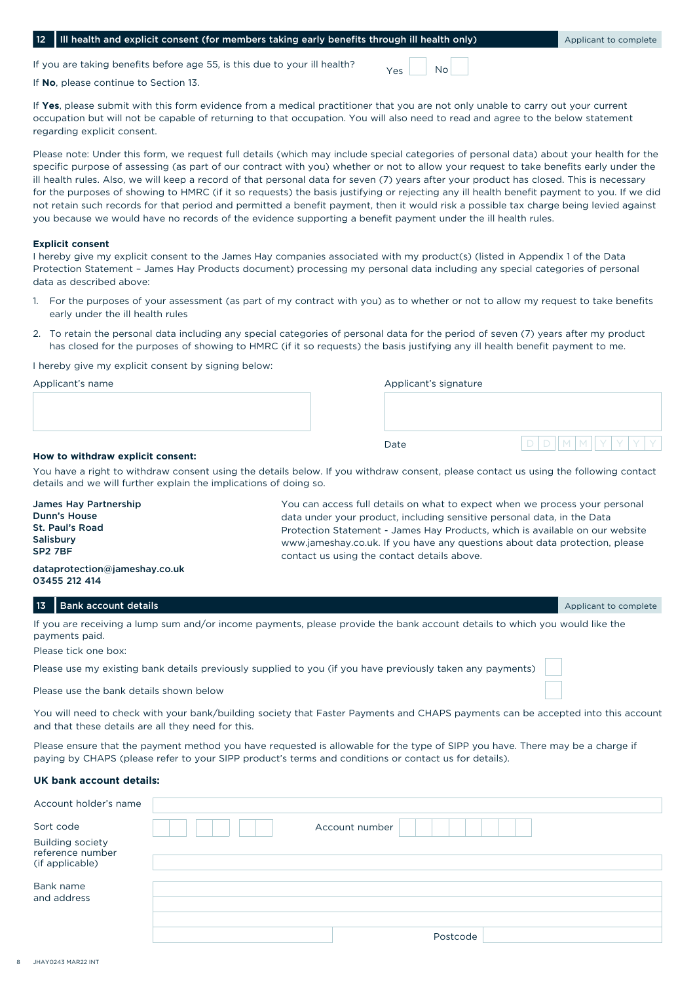|  |  |  |  |  | 12 III health and explicit consent (for members taking early benefits through ill health only |  |
|--|--|--|--|--|-----------------------------------------------------------------------------------------------|--|
|--|--|--|--|--|-----------------------------------------------------------------------------------------------|--|

If you are taking benefits before age 55, is this due to your ill health?

If **No**, please continue to Section 13.

If **Yes**, please submit with this form evidence from a medical practitioner that you are not only unable to carry out your current occupation but will not be capable of returning to that occupation. You will also need to read and agree to the below statement regarding explicit consent.

Please note: Under this form, we request full details (which may include special categories of personal data) about your health for the specific purpose of assessing (as part of our contract with you) whether or not to allow your request to take benefits early under the ill health rules. Also, we will keep a record of that personal data for seven (7) years after your product has closed. This is necessary for the purposes of showing to HMRC (if it so requests) the basis justifying or rejecting any ill health benefit payment to you. If we did not retain such records for that period and permitted a benefit payment, then it would risk a possible tax charge being levied against you because we would have no records of the evidence supporting a benefit payment under the ill health rules.

### **Explicit consent**

I hereby give my explicit consent to the James Hay companies associated with my product(s) (listed in Appendix 1 of the Data Protection Statement – James Hay Products document) processing my personal data including any special categories of personal data as described above:

- 1. For the purposes of your assessment (as part of my contract with you) as to whether or not to allow my request to take benefits early under the ill health rules
- 2. To retain the personal data including any special categories of personal data for the period of seven (7) years after my product has closed for the purposes of showing to HMRC (if it so requests) the basis justifying any ill health benefit payment to me.

I hereby give my explicit consent by signing below:

| Applicant's name |  | Applicant's signature |  |     |       |  |  |  |  |  |
|------------------|--|-----------------------|--|-----|-------|--|--|--|--|--|
|                  |  |                       |  |     |       |  |  |  |  |  |
|                  |  |                       |  |     |       |  |  |  |  |  |
|                  |  |                       |  |     |       |  |  |  |  |  |
|                  |  | Date                  |  | D/D | IMMIY |  |  |  |  |  |
|                  |  |                       |  |     |       |  |  |  |  |  |

# **How to withdraw explicit consent:**

You have a right to withdraw consent using the details below. If you withdraw consent, please contact us using the following contact details and we will further explain the implications of doing so.

| 13                                                                                                   | Bank account details                           |                                                                                                                            | Applicant to complete                                                        |  |  |  |  |  |
|------------------------------------------------------------------------------------------------------|------------------------------------------------|----------------------------------------------------------------------------------------------------------------------------|------------------------------------------------------------------------------|--|--|--|--|--|
|                                                                                                      | dataprotection@jameshay.co.uk<br>03455 212 414 |                                                                                                                            |                                                                              |  |  |  |  |  |
| Salisbury<br>SP <sub>2</sub> 7BF                                                                     |                                                | www.jameshay.co.uk. If you have any questions about data protection, please<br>contact us using the contact details above. |                                                                              |  |  |  |  |  |
|                                                                                                      | St. Paul's Road                                |                                                                                                                            | Protection Statement - James Hay Products, which is available on our website |  |  |  |  |  |
|                                                                                                      | <b>Dunn's House</b>                            |                                                                                                                            | data under your product, including sensitive personal data, in the Data      |  |  |  |  |  |
| You can access full details on what to expect when we process your personal<br>James Hay Partnership |                                                |                                                                                                                            |                                                                              |  |  |  |  |  |

If you are receiving a lump sum and/or income payments, please provide the bank account details to which you would like the payments paid.

Please tick one box:

Please use my existing bank details previously supplied to you (if you have previously taken any payments)

Please use the bank details shown below

You will need to check with your bank/building society that Faster Payments and CHAPS payments can be accepted into this account and that these details are all they need for this.

Please ensure that the payment method you have requested is allowable for the type of SIPP you have. There may be a charge if paying by CHAPS (please refer to your SIPP product's terms and conditions or contact us for details).

## **UK bank account details:**

| Account holder's name                       |                |  |
|---------------------------------------------|----------------|--|
| Sort code                                   | Account number |  |
| <b>Building society</b><br>reference number |                |  |
| (if applicable)                             |                |  |
| Bank name                                   |                |  |
| and address                                 |                |  |
|                                             |                |  |
|                                             | Postcode       |  |

 $V_{\text{ac}}$   $N_0$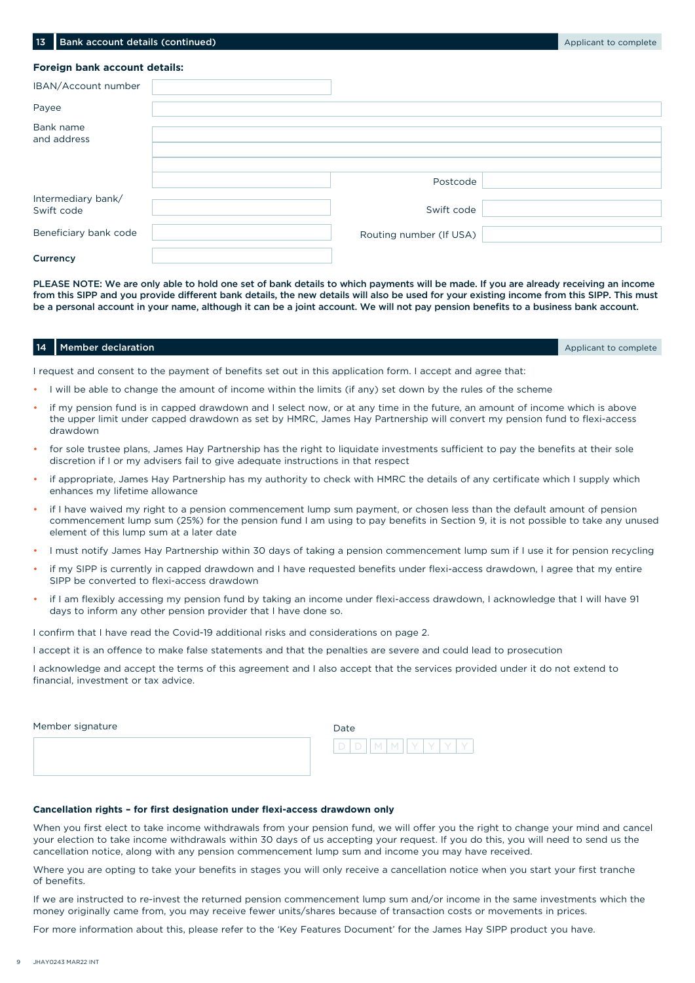| Foreign bank account details:             |                         |  |
|-------------------------------------------|-------------------------|--|
| IBAN/Account number                       |                         |  |
| Payee                                     |                         |  |
| Bank name<br>and address                  |                         |  |
|                                           | Postcode                |  |
| Intermediary bank/<br>Swift code          | Swift code              |  |
| Beneficiary bank code                     | Routing number (If USA) |  |
| $\sim$ $\sim$ $\sim$ $\sim$ $\sim$ $\sim$ |                         |  |

**13 Bank account details (continued)** Applicant to complete the state of the state of the state of the state of the state of the state of the state of the state of the state of the state of the state of the state of the st

**Currency** 

PLEASE NOTE: We are only able to hold one set of bank details to which payments will be made. If you are already receiving an income from this SIPP and you provide different bank details, the new details will also be used for your existing income from this SIPP. This must be a personal account in your name, although it can be a joint account. We will not pay pension benefits to a business bank account.

### **14 Member declaration** 14 Member declaration Applicant to complete the state of the state of the state of the state of the state of the state of the state of the state of the state of the state of the state of the state o

I request and consent to the payment of benefits set out in this application form. I accept and agree that:

- I will be able to change the amount of income within the limits (if any) set down by the rules of the scheme
- if my pension fund is in capped drawdown and I select now, or at any time in the future, an amount of income which is above the upper limit under capped drawdown as set by HMRC, James Hay Partnership will convert my pension fund to flexi-access drawdown
- for sole trustee plans, James Hay Partnership has the right to liquidate investments sufficient to pay the benefits at their sole discretion if I or my advisers fail to give adequate instructions in that respect
- if appropriate, James Hay Partnership has my authority to check with HMRC the details of any certificate which I supply which enhances my lifetime allowance
- if I have waived my right to a pension commencement lump sum payment, or chosen less than the default amount of pension commencement lump sum (25%) for the pension fund I am using to pay benefits in Section 9, it is not possible to take any unused element of this lump sum at a later date
- I must notify James Hay Partnership within 30 days of taking a pension commencement lump sum if I use it for pension recycling
- if my SIPP is currently in capped drawdown and I have requested benefits under flexi-access drawdown, I agree that my entire SIPP be converted to flexi-access drawdown
- if I am flexibly accessing my pension fund by taking an income under flexi-access drawdown, I acknowledge that I will have 91 days to inform any other pension provider that I have done so.

I confirm that I have read the Covid-19 additional risks and considerations on page 2.

I accept it is an offence to make false statements and that the penalties are severe and could lead to prosecution

I acknowledge and accept the terms of this agreement and I also accept that the services provided under it do not extend to financial, investment or tax advice.

| Member signature |  | Date |   |                |  |  |  |  |  |
|------------------|--|------|---|----------------|--|--|--|--|--|
|                  |  | D    | D | m   m    y   y |  |  |  |  |  |

## **Cancellation rights – for first designation under flexi-access drawdown only**

When you first elect to take income withdrawals from your pension fund, we will offer you the right to change your mind and cancel your election to take income withdrawals within 30 days of us accepting your request. If you do this, you will need to send us the cancellation notice, along with any pension commencement lump sum and income you may have received.

Where you are opting to take your benefits in stages you will only receive a cancellation notice when you start your first tranche of benefits.

If we are instructed to re-invest the returned pension commencement lump sum and/or income in the same investments which the money originally came from, you may receive fewer units/shares because of transaction costs or movements in prices.

For more information about this, please refer to the 'Key Features Document' for the James Hay SIPP product you have.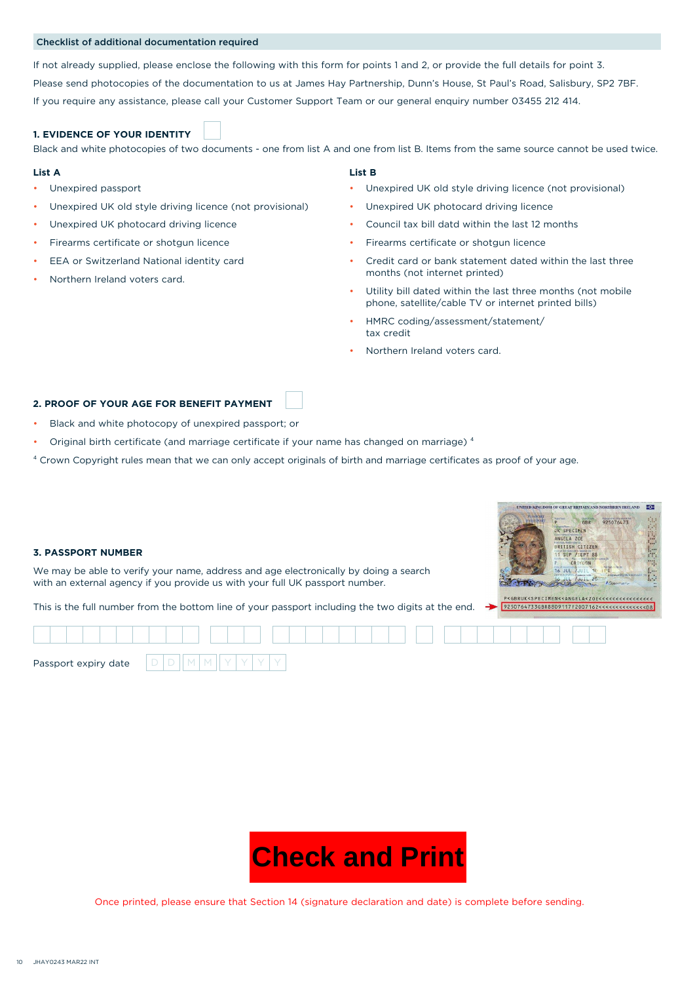### Checklist of additional documentation required

If not already supplied, please enclose the following with this form for points 1 and 2, or provide the full details for point 3. Please send photocopies of the documentation to us at James Hay Partnership, Dunn's House, St Paul's Road, Salisbury, SP2 7BF. If you require any assistance, please call your Customer Support Team or our general enquiry number 03455 212 414.

# **1. EVIDENCE OF YOUR IDENTITY**

Black and white photocopies of two documents - one from list A and one from list B. Items from the same source cannot be used twice.

#### **List A List B**

- Unexpired passport
- Unexpired UK old style driving licence (not provisional)
- Unexpired UK photocard driving licence
- Firearms certificate or shotgun licence
- EEA or Switzerland National identity card
- Northern Ireland voters card.

- Unexpired UK old style driving licence (not provisional)
- Unexpired UK photocard driving licence
- Council tax bill datd within the last 12 months
- Firearms certificate or shotgun licence
- Credit card or bank statement dated within the last three months (not internet printed)
- Utility bill dated within the last three months (not mobile phone, satellite/cable TV or internet printed bills)
- HMRC coding/assessment/statement/ tax credit
- Northern Ireland voters card.

# **2. PROOF OF YOUR AGE FOR BENEFIT PAYMENT**

- Black and white photocopy of unexpired passport; or
- Original birth certificate (and marriage certificate if your name has changed on marriage)<sup>4</sup>
- ⁴ Crown Copyright rules mean that we can only accept originals of birth and marriage certificates as proof of your age.

#### **UNITED KINGDOM OF GREAT BRITAIN AND NORTHERN IRELAND**  $\overline{1}$ GBR 925076473 UK SPECIMEN ANGELA ZOE BRITISH CITIZEN **3. PASSPORT NUMBER** SEP /SEPT 88 P /SEPT 88<br>CROYDON<br>L /JUIL 10  $72$ We may be able to verify your name, address and age electronically by doing a search **16 JUL** Þ with an external agency if you provide us with your full UK passport number. This is the full number from the bottom line of your passport including the two digits at the end. Passport expiry date



Once printed, please ensure that Section 14 (signature declaration and date) is complete before sending.